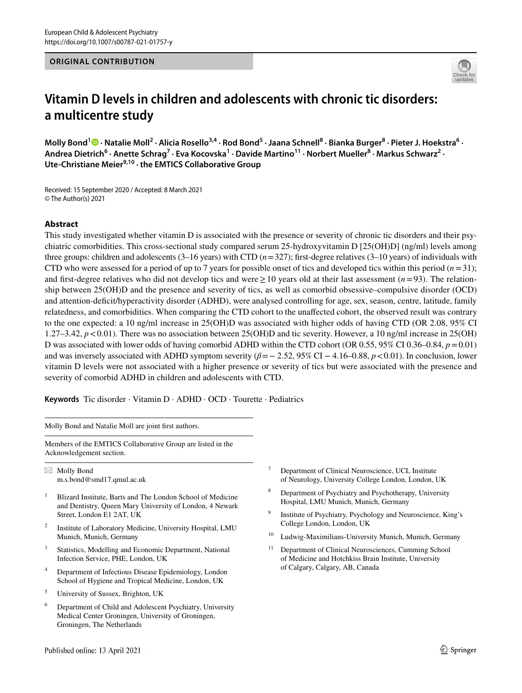#### **ORIGINAL CONTRIBUTION**



# **Vitamin D levels in children and adolescents with chronic tic disorders: a multicentre study**

Molly Bond<sup>1</sup> <sup>O</sup> [·](http://orcid.org/0000-0003-4406-8990) Natalie Moll<sup>2</sup> · Alicia Rosello<sup>3,4</sup> · Rod Bond<sup>5</sup> · Jaana Schnell<sup>8</sup> · Bianka Burger<sup>8</sup> · Pieter J. Hoekstra<sup>6</sup> · Andrea Dietrich<sup>6</sup> · Anette Schrag<sup>7</sup> · Eva Kocovska<sup>1</sup> · Davide Martino<sup>11</sup> · Norbert Mueller<sup>8</sup> · Markus Schwarz<sup>2</sup> · **Ute‑Christiane Meier9,10 · the EMTICS Collaborative Group**

Received: 15 September 2020 / Accepted: 8 March 2021 © The Author(s) 2021

# **Abstract**

This study investigated whether vitamin D is associated with the presence or severity of chronic tic disorders and their psychiatric comorbidities. This cross-sectional study compared serum 25-hydroxyvitamin D [25(OH)D] (ng/ml) levels among three groups: children and adolescents  $(3-16$  years) with CTD  $(n=327)$ ; first-degree relatives  $(3-10$  years) of individuals with CTD who were assessed for a period of up to 7 years for possible onset of tics and developed tics within this period  $(n=31)$ ; and frst-degree relatives who did not develop tics and were≥10 years old at their last assessment (*n*=93). The relationship between 25(OH)D and the presence and severity of tics, as well as comorbid obsessive–compulsive disorder (OCD) and attention-defcit/hyperactivity disorder (ADHD), were analysed controlling for age, sex, season, centre, latitude, family relatedness, and comorbidities. When comparing the CTD cohort to the unafected cohort, the observed result was contrary to the one expected: a 10 ng/ml increase in 25(OH)D was associated with higher odds of having CTD (OR 2.08, 95% CI 1.27–3.42,  $p < 0.01$ ). There was no association between 25(OH)D and tic severity. However, a 10 ng/ml increase in 25(OH) D was associated with lower odds of having comorbid ADHD within the CTD cohort (OR 0.55, 95% CI 0.36–0.84,  $p = 0.01$ ) and was inversely associated with ADHD symptom severity (*β*=− 2.52, 95% CI − 4.16–0.88, *p*<0.01). In conclusion, lower vitamin D levels were not associated with a higher presence or severity of tics but were associated with the presence and severity of comorbid ADHD in children and adolescents with CTD.

**Keywords** Tic disorder · Vitamin D · ADHD · OCD · Tourette · Pediatrics

Molly Bond and Natalie Moll are joint frst authors.

Members of the EMTICS Collaborative Group are listed in the Acknowledgement section.

 $\boxtimes$  Molly Bond m.s.bond@smd17.qmul.ac.uk

- <sup>1</sup> Blizard Institute, Barts and The London School of Medicine and Dentistry, Queen Mary University of London, 4 Newark Street, London E1 2AT, UK
- <sup>2</sup> Institute of Laboratory Medicine, University Hospital, LMU Munich, Munich, Germany
- <sup>3</sup> Statistics, Modelling and Economic Department, National Infection Service, PHE, London, UK
- <sup>4</sup> Department of Infectious Disease Epidemiology, London School of Hygiene and Tropical Medicine, London, UK
- <sup>5</sup> University of Sussex, Brighton, UK
- <sup>6</sup> Department of Child and Adolescent Psychiatry, University Medical Center Groningen, University of Groningen, Groningen, The Netherlands
- <sup>7</sup> Department of Clinical Neuroscience, UCL Institute of Neurology, University College London, London, UK
- <sup>8</sup> Department of Psychiatry and Psychotherapy, University Hospital, LMU Munich, Munich, Germany
- Institute of Psychiatry, Psychology and Neuroscience, King's College London, London, UK
- <sup>10</sup> Ludwig-Maximilians-University Munich, Munich, Germany
- <sup>11</sup> Department of Clinical Neurosciences, Cumming School of Medicine and Hotchkiss Brain Institute, University of Calgary, Calgary, AB, Canada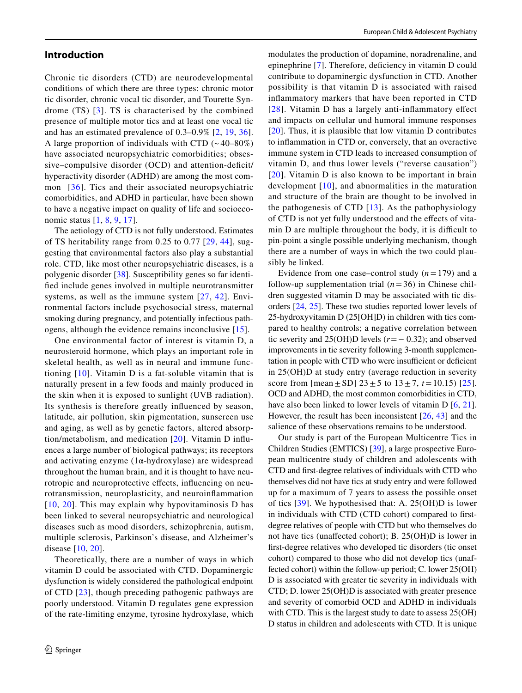# **Introduction**

Chronic tic disorders (CTD) are neurodevelopmental conditions of which there are three types: chronic motor tic disorder, chronic vocal tic disorder, and Tourette Syndrome (TS) [[3](#page-9-0)]. TS is characterised by the combined presence of multiple motor tics and at least one vocal tic and has an estimated prevalence of 0.3–0.9% [[2](#page-9-1), [19](#page-10-0), [36](#page-10-1)]. A large proportion of individuals with CTD  $(-40-80\%)$ have associated neuropsychiatric comorbidities; obsessive–compulsive disorder (OCD) and attention-deficit/ hyperactivity disorder (ADHD) are among the most common [[36\]](#page-10-1). Tics and their associated neuropsychiatric comorbidities, and ADHD in particular, have been shown to have a negative impact on quality of life and socioeconomic status [[1,](#page-9-2) [8](#page-10-2), [9,](#page-10-3) [17](#page-10-4)].

The aetiology of CTD is not fully understood. Estimates of TS heritability range from 0.25 to 0.77 [[29,](#page-10-5) [44\]](#page-11-0), suggesting that environmental factors also play a substantial role. CTD, like most other neuropsychiatric diseases, is a polygenic disorder [\[38](#page-10-6)]. Susceptibility genes so far identifed include genes involved in multiple neurotransmitter systems, as well as the immune system [[27](#page-10-7), [42](#page-11-1)]. Environmental factors include psychosocial stress, maternal smoking during pregnancy, and potentially infectious pathogens, although the evidence remains inconclusive [[15](#page-10-8)].

One environmental factor of interest is vitamin D, a neurosteroid hormone, which plays an important role in skeletal health, as well as in neural and immune functioning [[10](#page-10-9)]. Vitamin D is a fat-soluble vitamin that is naturally present in a few foods and mainly produced in the skin when it is exposed to sunlight (UVB radiation). Its synthesis is therefore greatly infuenced by season, latitude, air pollution, skin pigmentation, sunscreen use and aging, as well as by genetic factors, altered absorption/metabolism, and medication [[20\]](#page-10-10). Vitamin D infuences a large number of biological pathways; its receptors and activating enzyme  $(1\alpha$ -hydroxylase) are widespread throughout the human brain, and it is thought to have neurotropic and neuroprotective efects, infuencing on neurotransmission, neuroplasticity, and neuroinfammation [[10](#page-10-9), [20\]](#page-10-10). This may explain why hypovitaminosis D has been linked to several neuropsychiatric and neurological diseases such as mood disorders, schizophrenia, autism, multiple sclerosis, Parkinson's disease, and Alzheimer's disease [\[10,](#page-10-9) [20](#page-10-10)].

Theoretically, there are a number of ways in which vitamin D could be associated with CTD. Dopaminergic dysfunction is widely considered the pathological endpoint of CTD [[23](#page-10-11)], though preceding pathogenic pathways are poorly understood. Vitamin D regulates gene expression of the rate-limiting enzyme, tyrosine hydroxylase, which modulates the production of dopamine, noradrenaline, and epinephrine [[7\]](#page-10-12). Therefore, defciency in vitamin D could contribute to dopaminergic dysfunction in CTD. Another possibility is that vitamin D is associated with raised infammatory markers that have been reported in CTD [[28\]](#page-10-13). Vitamin D has a largely anti-inflammatory effect and impacts on cellular und humoral immune responses [[20](#page-10-10)]. Thus, it is plausible that low vitamin D contributes to infammation in CTD or, conversely, that an overactive immune system in CTD leads to increased consumption of vitamin D, and thus lower levels ("reverse causation") [[20](#page-10-10)]. Vitamin D is also known to be important in brain development [[10\]](#page-10-9), and abnormalities in the maturation and structure of the brain are thought to be involved in the pathogenesis of CTD  $[13]$  $[13]$ . As the pathophysiology of CTD is not yet fully understood and the efects of vitamin D are multiple throughout the body, it is difficult to pin-point a single possible underlying mechanism, though there are a number of ways in which the two could plausibly be linked.

Evidence from one case–control study  $(n=179)$  and a follow-up supplementation trial  $(n=36)$  in Chinese children suggested vitamin D may be associated with tic disorders [[24,](#page-10-15) [25](#page-10-16)]. These two studies reported lower levels of 25-hydroxyvitamin D (25[OH]D) in children with tics compared to healthy controls; a negative correlation between tic severity and 25(OH)D levels (*r*=− 0.32); and observed improvements in tic severity following 3-month supplementation in people with CTD who were insufficient or deficient in 25(OH)D at study entry (average reduction in severity score from  $[mean \pm SD]$  23  $\pm$  5 to 13  $\pm$  7, *t* = 10.15) [[25](#page-10-16)]. OCD and ADHD, the most common comorbidities in CTD, have also been linked to lower levels of vitamin D [[6,](#page-10-17) [21](#page-10-18)]. However, the result has been inconsistent [\[26](#page-10-19), [43\]](#page-11-2) and the salience of these observations remains to be understood.

Our study is part of the European Multicentre Tics in Children Studies (EMTICS) [\[39](#page-11-3)], a large prospective European multicentre study of children and adolescents with CTD and frst-degree relatives of individuals with CTD who themselves did not have tics at study entry and were followed up for a maximum of 7 years to assess the possible onset of tics [\[39\]](#page-11-3). We hypothesised that: A. 25(OH)D is lower in individuals with CTD (CTD cohort) compared to frstdegree relatives of people with CTD but who themselves do not have tics (unafected cohort); B. 25(OH)D is lower in frst-degree relatives who developed tic disorders (tic onset cohort) compared to those who did not develop tics (unaffected cohort) within the follow-up period; C. lower 25(OH) D is associated with greater tic severity in individuals with CTD; D. lower 25(OH)D is associated with greater presence and severity of comorbid OCD and ADHD in individuals with CTD. This is the largest study to date to assess  $25(OH)$ D status in children and adolescents with CTD. It is unique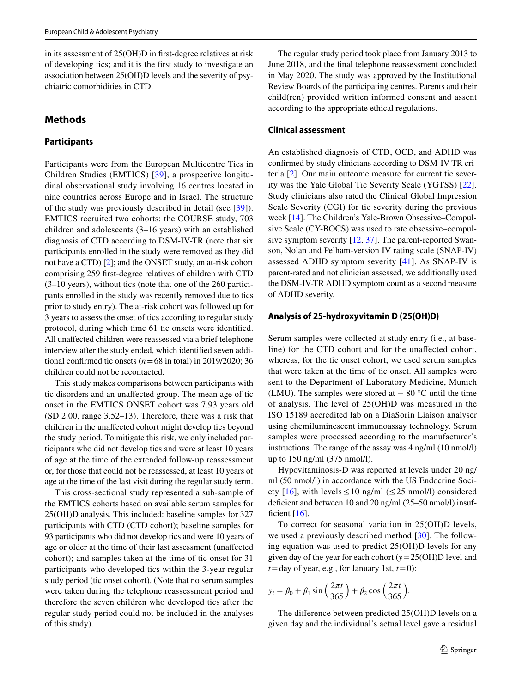in its assessment of 25(OH)D in frst-degree relatives at risk of developing tics; and it is the frst study to investigate an association between 25(OH)D levels and the severity of psychiatric comorbidities in CTD.

# **Methods**

# **Participants**

Participants were from the European Multicentre Tics in Children Studies (EMTICS) [[39](#page-11-3)], a prospective longitudinal observational study involving 16 centres located in nine countries across Europe and in Israel. The structure of the study was previously described in detail (see [\[39\]](#page-11-3)). EMTICS recruited two cohorts: the COURSE study, 703 children and adolescents (3–16 years) with an established diagnosis of CTD according to DSM-IV-TR (note that six participants enrolled in the study were removed as they did not have a CTD) [\[2](#page-9-1)]; and the ONSET study, an at-risk cohort comprising 259 frst-degree relatives of children with CTD (3–10 years), without tics (note that one of the 260 participants enrolled in the study was recently removed due to tics prior to study entry). The at-risk cohort was followed up for 3 years to assess the onset of tics according to regular study protocol, during which time 61 tic onsets were identifed. All unafected children were reassessed via a brief telephone interview after the study ended, which identifed seven additional confirmed tic onsets  $(n=68 \text{ in total})$  in 2019/2020; 36 children could not be recontacted.

This study makes comparisons between participants with tic disorders and an unafected group. The mean age of tic onset in the EMTICS ONSET cohort was 7.93 years old (SD 2.00, range 3.52–13). Therefore, there was a risk that children in the unafected cohort might develop tics beyond the study period. To mitigate this risk, we only included participants who did not develop tics and were at least 10 years of age at the time of the extended follow-up reassessment or, for those that could not be reassessed, at least 10 years of age at the time of the last visit during the regular study term.

This cross-sectional study represented a sub-sample of the EMTICS cohorts based on available serum samples for 25(OH)D analysis. This included: baseline samples for 327 participants with CTD (CTD cohort); baseline samples for 93 participants who did not develop tics and were 10 years of age or older at the time of their last assessment (unafected cohort); and samples taken at the time of tic onset for 31 participants who developed tics within the 3-year regular study period (tic onset cohort). (Note that no serum samples were taken during the telephone reassessment period and therefore the seven children who developed tics after the regular study period could not be included in the analyses of this study).

The regular study period took place from January 2013 to June 2018, and the fnal telephone reassessment concluded in May 2020. The study was approved by the Institutional Review Boards of the participating centres. Parents and their child(ren) provided written informed consent and assent according to the appropriate ethical regulations.

# **Clinical assessment**

An established diagnosis of CTD, OCD, and ADHD was confrmed by study clinicians according to DSM-IV-TR criteria [[2\]](#page-9-1). Our main outcome measure for current tic severity was the Yale Global Tic Severity Scale (YGTSS) [[22](#page-10-20)]. Study clinicians also rated the Clinical Global Impression Scale Severity (CGI) for tic severity during the previous week [[14\]](#page-10-21). The Children's Yale-Brown Obsessive–Compulsive Scale (CY-BOCS) was used to rate obsessive–compulsive symptom severity [\[12](#page-10-22), [37](#page-10-23)]. The parent-reported Swanson, Nolan and Pelham-version IV rating scale (SNAP-IV) assessed ADHD symptom severity [[41\]](#page-11-4). As SNAP-IV is parent-rated and not clinician assessed, we additionally used the DSM-IV-TR ADHD symptom count as a second measure of ADHD severity.

# **Analysis of 25‑hydroxyvitamin D (25(OH)D)**

Serum samples were collected at study entry (i.e., at baseline) for the CTD cohort and for the unafected cohort, whereas, for the tic onset cohort, we used serum samples that were taken at the time of tic onset. All samples were sent to the Department of Laboratory Medicine, Munich (LMU). The samples were stored at  $-80$  °C until the time of analysis. The level of 25(OH)D was measured in the ISO 15189 accredited lab on a DiaSorin Liaison analyser using chemiluminescent immunoassay technology. Serum samples were processed according to the manufacturer's instructions. The range of the assay was 4 ng/ml (10 nmol/l) up to 150 ng/ml (375 nmol/l).

Hypovitaminosis-D was reported at levels under 20 ng/ ml (50 nmol/l) in accordance with the US Endocrine Soci-ety [\[16\]](#page-10-24), with levels  $\leq 10$  ng/ml ( $\leq 25$  nmol/l) considered defcient and between 10 and 20 ng/ml (25–50 nmol/l) insufficient  $[16]$  $[16]$ .

To correct for seasonal variation in 25(OH)D levels, we used a previously described method [\[30\]](#page-10-25). The following equation was used to predict 25(OH)D levels for any given day of the year for each cohort (*y*=25(OH)D level and  $t =$ day of year, e.g., for January 1st,  $t = 0$ ):

$$
y_i = \beta_0 + \beta_1 \sin\left(\frac{2\pi t}{365}\right) + \beta_2 \cos\left(\frac{2\pi t}{365}\right).
$$

The diference between predicted 25(OH)D levels on a given day and the individual's actual level gave a residual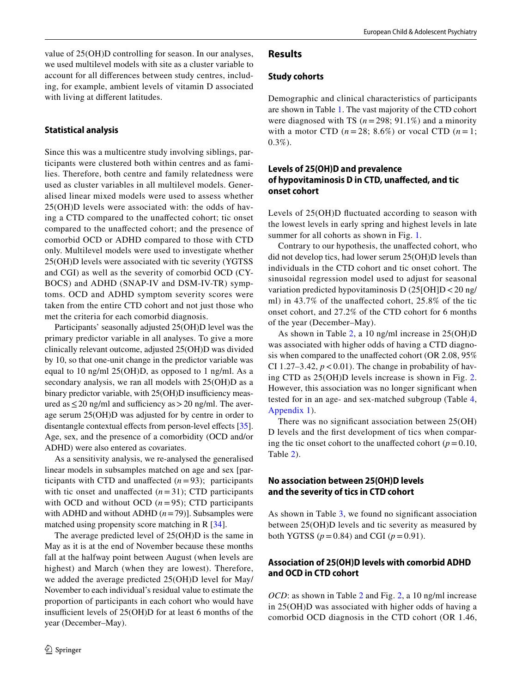value of 25(OH)D controlling for season. In our analyses, we used multilevel models with site as a cluster variable to account for all diferences between study centres, including, for example, ambient levels of vitamin D associated with living at diferent latitudes.

#### **Statistical analysis**

Since this was a multicentre study involving siblings, participants were clustered both within centres and as families. Therefore, both centre and family relatedness were used as cluster variables in all multilevel models. Generalised linear mixed models were used to assess whether 25(OH)D levels were associated with: the odds of having a CTD compared to the unafected cohort; tic onset compared to the unafected cohort; and the presence of comorbid OCD or ADHD compared to those with CTD only. Multilevel models were used to investigate whether 25(OH)D levels were associated with tic severity (YGTSS and CGI) as well as the severity of comorbid OCD (CY-BOCS) and ADHD (SNAP-IV and DSM-IV-TR) symptoms. OCD and ADHD symptom severity scores were taken from the entire CTD cohort and not just those who met the criteria for each comorbid diagnosis.

Participants' seasonally adjusted 25(OH)D level was the primary predictor variable in all analyses. To give a more clinically relevant outcome, adjusted 25(OH)D was divided by 10, so that one-unit change in the predictor variable was equal to 10 ng/ml 25(OH)D, as opposed to 1 ng/ml. As a secondary analysis, we ran all models with 25(OH)D as a binary predictor variable, with 25(OH)D insufficiency measured as  $\leq$  20 ng/ml and sufficiency as > 20 ng/ml. The average serum 25(OH)D was adjusted for by centre in order to disentangle contextual effects from person-level effects [\[35](#page-10-26)]. Age, sex, and the presence of a comorbidity (OCD and/or ADHD) were also entered as covariates.

As a sensitivity analysis, we re-analysed the generalised linear models in subsamples matched on age and sex [participants with CTD and unaffected  $(n=93)$ ; participants with tic onset and unaffected  $(n=31)$ ; CTD participants with OCD and without OCD  $(n=95)$ ; CTD participants with ADHD and without ADHD  $(n=79)$ ]. Subsamples were matched using propensity score matching in R [\[34\]](#page-10-27).

The average predicted level of 25(OH)D is the same in May as it is at the end of November because these months fall at the halfway point between August (when levels are highest) and March (when they are lowest). Therefore, we added the average predicted 25(OH)D level for May/ November to each individual's residual value to estimate the proportion of participants in each cohort who would have insufficient levels of  $25(OH)D$  for at least 6 months of the year (December–May).

# **Results**

# **Study cohorts**

Demographic and clinical characteristics of participants are shown in Table [1](#page-4-0). The vast majority of the CTD cohort were diagnosed with TS  $(n=298; 91.1\%)$  and a minority with a motor CTD  $(n=28; 8.6\%)$  or vocal CTD  $(n=1;$  $0.3\%$ ).

# **Levels of 25(OH)D and prevalence of hypovitaminosis D in CTD, unafected, and tic onset cohort**

Levels of 25(OH)D fuctuated according to season with the lowest levels in early spring and highest levels in late summer for all cohorts as shown in Fig. [1.](#page-4-1)

Contrary to our hypothesis, the unafected cohort, who did not develop tics, had lower serum 25(OH)D levels than individuals in the CTD cohort and tic onset cohort. The sinusoidal regression model used to adjust for seasonal variation predicted hypovitaminosis D (25[OH]D<20 ng/ ml) in 43.7% of the unafected cohort, 25.8% of the tic onset cohort, and 27.2% of the CTD cohort for 6 months of the year (December–May).

As shown in Table [2,](#page-5-0) a 10 ng/ml increase in 25(OH)D was associated with higher odds of having a CTD diagnosis when compared to the unafected cohort (OR 2.08, 95% CI 1.27–3.42,  $p < 0.01$ ). The change in probability of having CTD as 25(OH)D levels increase is shown in Fig. [2.](#page-5-1) However, this association was no longer signifcant when tested for in an age- and sex-matched subgroup (Table [4,](#page-7-0) [Appendix 1\)](#page-8-0).

There was no signifcant association between 25(OH) D levels and the frst development of tics when comparing the tic onset cohort to the unaffected cohort ( $p=0.10$ , Table [2](#page-5-0)).

# **No association between 25(OH)D levels and the severity of tics in CTD cohort**

As shown in Table [3,](#page-6-0) we found no signifcant association between 25(OH)D levels and tic severity as measured by both YGTSS ( $p = 0.84$ ) and CGI ( $p = 0.91$ ).

# **Association of 25(OH)D levels with comorbid ADHD and OCD in CTD cohort**

*OCD*: as shown in Table [2](#page-5-0) and Fig. [2,](#page-5-1) a 10 ng/ml increase in 25(OH)D was associated with higher odds of having a comorbid OCD diagnosis in the CTD cohort (OR 1.46,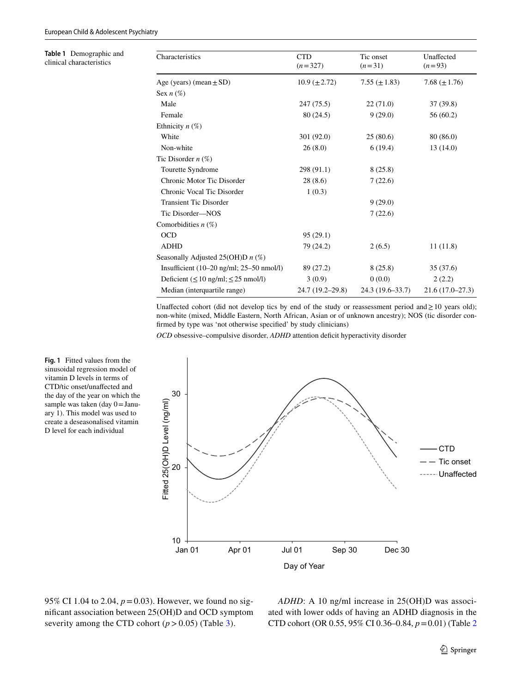<span id="page-4-0"></span>**Table 1** Demographic and clinical characteristics

| Characteristics                                             | <b>CTD</b><br>$(n=327)$ | Tic onset<br>$(n=31)$ | Unaffected<br>$(n=93)$ |
|-------------------------------------------------------------|-------------------------|-----------------------|------------------------|
| Age (years) (mean $\pm$ SD)                                 | $10.9 \ (\pm 2.72)$     | 7.55 $(\pm 1.83)$     | 7.68 $(\pm 1.76)$      |
| Sex $n(\%)$                                                 |                         |                       |                        |
| Male                                                        | 247 (75.5)              | 22(71.0)              | 37(39.8)               |
| Female                                                      | 80 (24.5)               | 9(29.0)               | 56 (60.2)              |
| Ethnicity $n$ (%)                                           |                         |                       |                        |
| White                                                       | 301 (92.0)              | 25(80.6)              | 80 (86.0)              |
| Non-white                                                   | 26(8.0)                 | 6(19.4)               | 13(14.0)               |
| Tic Disorder $n$ (%)                                        |                         |                       |                        |
| Tourette Syndrome                                           | 298 (91.1)              | 8(25.8)               |                        |
| Chronic Motor Tic Disorder                                  | 28(8.6)                 | 7(22.6)               |                        |
| Chronic Vocal Tic Disorder                                  | 1(0.3)                  |                       |                        |
| <b>Transient Tic Disorder</b>                               |                         | 9(29.0)               |                        |
| Tic Disorder-NOS                                            |                         | 7(22.6)               |                        |
| Comorbidities $n$ (%)                                       |                         |                       |                        |
| <b>OCD</b>                                                  | 95(29.1)                |                       |                        |
| <b>ADHD</b>                                                 | 79 (24.2)               | 2(6.5)                | 11(11.8)               |
| Seasonally Adjusted 25(OH)D $n$ (%)                         |                         |                       |                        |
| Insufficient $(10-20 \text{ ng/ml}; 25-50 \text{ nmol/l})$  | 89 (27.2)               | 8(25.8)               | 35(37.6)               |
| Deficient $(\leq 10 \text{ ng/ml}; \leq 25 \text{ nmol/l})$ | 3(0.9)                  | 0(0.0)                | 2(2.2)                 |
| Median (interquartile range)                                | 24.7 (19.2-29.8)        | 24.3 (19.6–33.7)      | $21.6(17.0-27.3)$      |

Unaffected cohort (did not develop tics by end of the study or reassessment period and  $\geq 10$  years old); non-white (mixed, Middle Eastern, North African, Asian or of unknown ancestry); NOS (tic disorder confrmed by type was 'not otherwise specifed' by study clinicians)

*OCD* obsessive–compulsive disorder, *ADHD* attention deficit hyperactivity disorder



sinusoidal regression model of vitamin D levels in terms of CTD/tic onset/unafected and the day of the year on which the sample was taken (day 0=January 1). This model was used to create a deseasonalised vitamin D level for each individual

<span id="page-4-1"></span>**Fig. 1** Fitted values from the

95% CI 1.04 to 2.04, *p*=0.03). However, we found no signifcant association between 25(OH)D and OCD symptom severity among the CTD cohort  $(p > 0.05)$  (Table [3\)](#page-6-0).

*ADHD*: A 10 ng/ml increase in 25(OH)D was associated with lower odds of having an ADHD diagnosis in the CTD cohort (OR 0.55, 95% CI 0.36–0.84, *p*=0.01) (Table [2](#page-5-0)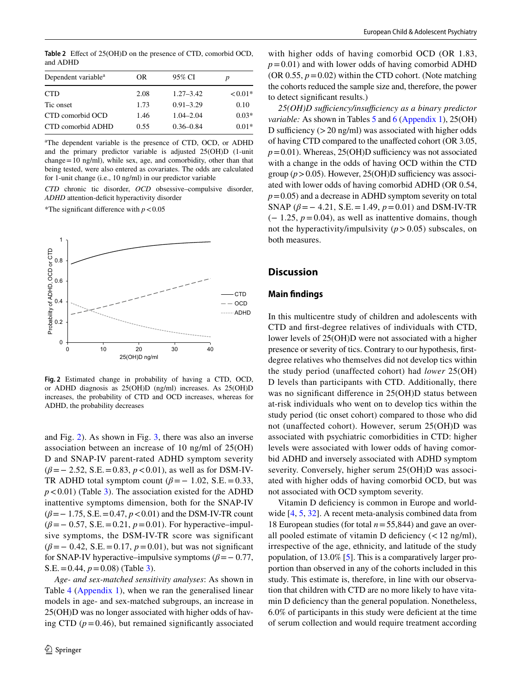<span id="page-5-0"></span>**Table 2** Efect of 25(OH)D on the presence of CTD, comorbid OCD, and ADHD

| OR.  | 95% CI        | p         |
|------|---------------|-----------|
| 2.08 | $1.27 - 3.42$ | $< 0.01*$ |
| 1.73 | $0.91 - 3.29$ | 0.10      |
| 1.46 | $1.04 - 2.04$ | $0.03*$   |
| 0.55 | $0.36 - 0.84$ | $0.01*$   |
|      |               |           |

a The dependent variable is the presence of CTD, OCD, or ADHD and the primary predictor variable is adjusted 25(OH)D (1-unit change=10 ng/ml), while sex, age, and comorbidity, other than that being tested, were also entered as covariates. The odds are calculated for 1-unit change (i.e., 10 ng/ml) in our predictor variable

*CTD* chronic tic disorder, *OCD* obsessive–compulsive disorder, ADHD attention-deficit hyperactivity disorder

\*The significant difference with  $p < 0.05$ 



<span id="page-5-1"></span>**Fig. 2** Estimated change in probability of having a CTD, OCD, or ADHD diagnosis as 25(OH)D (ng/ml) increases. As 25(OH)D increases, the probability of CTD and OCD increases, whereas for ADHD, the probability decreases

and Fig. [2\)](#page-5-1). As shown in Fig. [3,](#page-6-1) there was also an inverse association between an increase of 10 ng/ml of 25(OH) D and SNAP-IV parent-rated ADHD symptom severity (*β*=− 2.52, S.E.=0.83, *p*<0.01), as well as for DSM-IV-TR ADHD total symptom count  $(\beta = -1.02, S.E. = 0.33,$  $p < 0.01$ ) (Table [3\)](#page-6-0). The association existed for the ADHD inattentive symptoms dimension, both for the SNAP-IV (*β*=− 1.75, S.E.=0.47, *p*<0.01) and the DSM-IV-TR count (*β*=− 0.57, S.E.=0.21, *p*=0.01). For hyperactive–impulsive symptoms, the DSM-IV-TR score was significant (*β*=− 0.42, S.E.=0.17, *p*=0.01), but was not signifcant for SNAP-IV hyperactive–impulsive symptoms  $(\beta = 0.77,$ S.E.=0.44, *p*=0.08) (Table [3\)](#page-6-0).

*Age- and sex-matched sensitivity analyses*: As shown in Table [4](#page-7-0) [\(Appendix 1\)](#page-8-0), when we ran the generalised linear models in age- and sex-matched subgroups, an increase in 25(OH)D was no longer associated with higher odds of having CTD  $(p=0.46)$ , but remained significantly associated

with higher odds of having comorbid OCD (OR 1.83,  $p=0.01$ ) and with lower odds of having comorbid ADHD (OR  $0.55$ ,  $p = 0.02$ ) within the CTD cohort. (Note matching the cohorts reduced the sample size and, therefore, the power to detect signifcant results.)

25(OH)D sufficiency/insufficiency as a binary predictor *variable:* As shown in Tables [5](#page-7-1) and [6](#page-7-2) ([Appendix 1](#page-8-0)), 25(OH) D sufficiency  $(>20 \text{ ng/ml})$  was associated with higher odds of having CTD compared to the unafected cohort (OR 3.05,  $p=0.01$ ). Whereas, 25(OH)D sufficiency was not associated with a change in the odds of having OCD within the CTD group  $(p > 0.05)$ . However, 25(OH)D sufficiency was associ-ated with lower odds of having comorbid ADHD (OR 0.54,  $p=0.05$ ) and a decrease in ADHD symptom severity on total SNAP ( $\beta$ = – 4.21, S.E. = 1.49,  $p$  = 0.01) and DSM-IV-TR  $(-1.25, p=0.04)$ , as well as inattentive domains, though not the hyperactivity/impulsivity  $(p > 0.05)$  subscales, on both measures.

## **Discussion**

#### **Main fndings**

In this multicentre study of children and adolescents with CTD and frst-degree relatives of individuals with CTD, lower levels of 25(OH)D were not associated with a higher presence or severity of tics. Contrary to our hypothesis, frstdegree relatives who themselves did not develop tics within the study period (unaffected cohort) had *lower* 25(OH) D levels than participants with CTD. Additionally, there was no signifcant diference in 25(OH)D status between at-risk individuals who went on to develop tics within the study period (tic onset cohort) compared to those who did not (unaffected cohort). However, serum 25(OH)D was associated with psychiatric comorbidities in CTD: higher levels were associated with lower odds of having comorbid ADHD and inversely associated with ADHD symptom severity. Conversely, higher serum 25(OH)D was associated with higher odds of having comorbid OCD, but was not associated with OCD symptom severity.

Vitamin D defciency is common in Europe and worldwide [\[4](#page-10-28), [5](#page-10-29), [32](#page-10-30)]. A recent meta-analysis combined data from 18 European studies (for total *n*=55,844) and gave an overall pooled estimate of vitamin D deficiency  $\left($  < 12 ng/ml), irrespective of the age, ethnicity, and latitude of the study population, of 13.0% [[5\]](#page-10-29). This is a comparatively larger proportion than observed in any of the cohorts included in this study. This estimate is, therefore, in line with our observation that children with CTD are no more likely to have vitamin D deficiency than the general population. Nonetheless, 6.0% of participants in this study were defcient at the time of serum collection and would require treatment according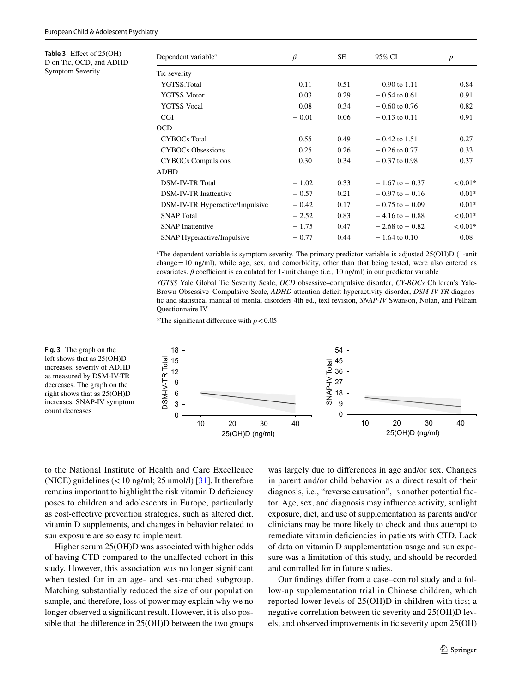<span id="page-6-0"></span>**Table 3** Efect of 25(OH) D on Tic, OCD, and ADHD Symptom Severity

<span id="page-6-1"></span>**Fig. 3** The graph on the left shows that as 25(OH)D increases, severity of ADHD as measured by DSM-IV-TR decreases. The graph on the right shows that as 25(OH)D

| Dependent variable <sup>a</sup> | $\beta$ | SE.  | 95% CI             | $\boldsymbol{p}$ |
|---------------------------------|---------|------|--------------------|------------------|
| Tic severity                    |         |      |                    |                  |
| YGTSS:Total                     | 0.11    | 0.51 | $-0.90$ to 1.11    | 0.84             |
| <b>YGTSS Motor</b>              | 0.03    | 0.29 | $-0.54$ to 0.61    | 0.91             |
| <b>YGTSS</b> Vocal              | 0.08    | 0.34 | $-0.60$ to 0.76    | 0.82             |
| <b>CGI</b>                      | $-0.01$ | 0.06 | $-0.13$ to 0.11    | 0.91             |
| <b>OCD</b>                      |         |      |                    |                  |
| <b>CYBOCs</b> Total             | 0.55    | 0.49 | $-0.42$ to 1.51    | 0.27             |
| <b>CYBOCs Obsessions</b>        | 0.25    | 0.26 | $-0.26$ to 0.77    | 0.33             |
| <b>CYBOCs Compulsions</b>       | 0.30    | 0.34 | $-0.37$ to 0.98    | 0.37             |
| <b>ADHD</b>                     |         |      |                    |                  |
| <b>DSM-IV-TR Total</b>          | $-1.02$ | 0.33 | $-1.67$ to $-0.37$ | $< 0.01*$        |
| <b>DSM-IV-TR Inattentive</b>    | $-0.57$ | 0.21 | $-0.97$ to $-0.16$ | $0.01*$          |
| DSM-IV-TR Hyperactive/Impulsive | $-0.42$ | 0.17 | $-0.75$ to $-0.09$ | $0.01*$          |
| <b>SNAP</b> Total               | $-2.52$ | 0.83 | $-4.16$ to $-0.88$ | $< 0.01*$        |
| <b>SNAP</b> Inattentive         | $-1.75$ | 0.47 | $-2.68$ to $-0.82$ | $< 0.01*$        |
| SNAP Hyperactive/Impulsive      | $-0.77$ | 0.44 | $-1.64$ to 0.10    | 0.08             |

a The dependent variable is symptom severity. The primary predictor variable is adjusted 25(OH)D (1-unit change=10 ng/ml), while age, sex, and comorbidity, other than that being tested, were also entered as covariates.  $\beta$  coefficient is calculated for 1-unit change (i.e., 10 ng/ml) in our predictor variable

*YGTSS* Yale Global Tic Severity Scale, *OCD* obsessive–compulsive disorder, *CY-BOCs* Children's Yale-Brown Obsessive–Compulsive Scale, *ADHD* attention-deficit hyperactivity disorder, *DSM-IV-TR* diagnostic and statistical manual of mental disorders 4th ed., text revision, *SNAP-IV* Swanson, Nolan, and Pelham Questionnaire IV

\*The significant difference with  $p < 0.05$ 



to the National Institute of Health and Care Excellence (NICE) guidelines  $(< 10$  ng/ml; 25 nmol/l) [[31\]](#page-10-31). It therefore remains important to highlight the risk vitamin D defciency poses to children and adolescents in Europe, particularly as cost-efective prevention strategies, such as altered diet, vitamin D supplements, and changes in behavior related to sun exposure are so easy to implement.

Higher serum 25(OH)D was associated with higher odds of having CTD compared to the unafected cohort in this study. However, this association was no longer signifcant when tested for in an age- and sex-matched subgroup. Matching substantially reduced the size of our population sample, and therefore, loss of power may explain why we no longer observed a signifcant result. However, it is also possible that the diference in 25(OH)D between the two groups was largely due to diferences in age and/or sex. Changes in parent and/or child behavior as a direct result of their diagnosis, i.e., "reverse causation", is another potential factor. Age, sex, and diagnosis may infuence activity, sunlight exposure, diet, and use of supplementation as parents and/or clinicians may be more likely to check and thus attempt to remediate vitamin defciencies in patients with CTD. Lack of data on vitamin D supplementation usage and sun exposure was a limitation of this study, and should be recorded and controlled for in future studies.

Our fndings difer from a case–control study and a follow-up supplementation trial in Chinese children, which reported lower levels of 25(OH)D in children with tics; a negative correlation between tic severity and 25(OH)D levels; and observed improvements in tic severity upon 25(OH)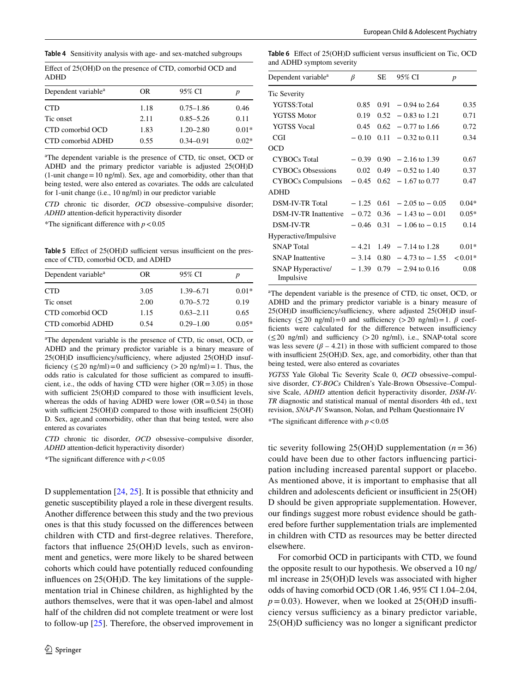<span id="page-7-0"></span>**Table 4** Sensitivity analysis with age- and sex-matched subgroups

Efect of 25(OH)D on the presence of CTD, comorbid OCD and ADHD

| p       |
|---------|
| 0.46    |
| 0.11    |
| $0.01*$ |
| $0.02*$ |
|         |

a The dependent variable is the presence of CTD, tic onset, OCD or ADHD and the primary predictor variable is adjusted 25(OH)D  $(1$ -unit change = 10 ng/ml). Sex, age and comorbidity, other than that being tested, were also entered as covariates. The odds are calculated for 1-unit change (i.e., 10 ng/ml) in our predictor variable

*CTD* chronic tic disorder, *OCD* obsessive–compulsive disorder; ADHD attention-deficit hyperactivity disorder

\*The significant difference with  $p < 0.05$ 

<span id="page-7-1"></span>**Table 5** Effect of 25(OH)D sufficient versus insufficient on the presence of CTD, comorbid OCD, and ADHD

| Dependent variable <sup>a</sup> | OR   | 95% CI        | p       |
|---------------------------------|------|---------------|---------|
| <b>CTD</b>                      | 3.05 | 1.39 - 6.71   | $0.01*$ |
| Tic onset                       | 2.00 | $0.70 - 5.72$ | 0.19    |
| CTD comorbid OCD                | 1.15 | $0.63 - 2.11$ | 0.65    |
| CTD comorbid ADHD               | 0.54 | $0.29 - 1.00$ | $0.05*$ |

a The dependent variable is the presence of CTD, tic onset, OCD, or ADHD and the primary predictor variable is a binary measure of 25(OH)D insufficiency/sufficiency, where adjusted 25(OH)D insufficiency ( $\leq$  20 ng/ml) = 0 and sufficiency ( $>$  20 ng/ml) = 1. Thus, the odds ratio is calculated for those sufficient as compared to insufficient, i.e., the odds of having CTD were higher  $(OR = 3.05)$  in those with sufficient  $25(OH)D$  compared to those with insufficient levels, whereas the odds of having ADHD were lower  $(OR = 0.54)$  in those with sufficient  $25(OH)D$  compared to those with insufficient  $25(OH)$ D. Sex, age,and comorbidity, other than that being tested, were also entered as covariates

*CTD* chronic tic disorder, *OCD* obsessive–compulsive disorder, *ADHD* attention-deficit hyperactivity disorder)

\*The significant difference with  $p < 0.05$ 

D supplementation [\[24](#page-10-15), [25](#page-10-16)]. It is possible that ethnicity and genetic susceptibility played a role in these divergent results. Another diference between this study and the two previous ones is that this study focussed on the diferences between children with CTD and frst-degree relatives. Therefore, factors that infuence 25(OH)D levels, such as environment and genetics, were more likely to be shared between cohorts which could have potentially reduced confounding infuences on 25(OH)D. The key limitations of the supplementation trial in Chinese children, as highlighted by the authors themselves, were that it was open-label and almost half of the children did not complete treatment or were lost to follow-up [[25](#page-10-16)]. Therefore, the observed improvement in

<span id="page-7-2"></span>Table 6 Effect of 25(OH)D sufficient versus insufficient on Tic, OCD and ADHD symptom severity

| Dependent variable <sup>a</sup>       | β       | SE   | 95% CI                          | $\boldsymbol{p}$ |
|---------------------------------------|---------|------|---------------------------------|------------------|
| Tic Severity                          |         |      |                                 |                  |
| YGTSS:Total                           | 0.85    |      | $0.91 - 0.94$ to 2.64           | 0.35             |
| <b>YGTSS Motor</b>                    | 0.19    | 0.52 | $-0.83$ to 1.21                 | 0.71             |
| <b>YGTSS Vocal</b>                    | 0.45    | 0.62 | $-0.77$ to 1.66                 | 0.72             |
| CGI                                   | $-0.10$ | 0.11 | $-0.32$ to 0.11                 | 0.34             |
| <b>OCD</b>                            |         |      |                                 |                  |
| <b>CYBOCs Total</b>                   | $-0.39$ |      | $0.90 - 2.16$ to 1.39           | 0.67             |
| <b>CYBOCs Obsessions</b>              | 0.02    | 0.49 | $-0.52$ to 1.40                 | 0.37             |
| <b>CYBOCs Compulsions</b>             | $-0.45$ |      | $0.62 - 1.67$ to 0.77           | 0.47             |
| <b>ADHD</b>                           |         |      |                                 |                  |
| <b>DSM-IV-TR Total</b>                | $-1.25$ |      | $0.61 - 2.05$ to $- 0.05$       | $0.04*$          |
| DSM-IV-TR Inattentive                 | $-0.72$ |      | $0.36 - 1.43$ to $-0.01$        | $0.05*$          |
| <b>DSM-IV-TR</b>                      |         |      | $-0.46$ 0.31 $-1.06$ to $-0.15$ | 0.14             |
| Hyperactive/Impulsive                 |         |      |                                 |                  |
| <b>SNAP</b> Total                     | $-4.21$ |      | $1.49 - 7.14$ to 1.28           | $0.01*$          |
| <b>SNAP</b> Inattentive               | $-3.14$ | 0.80 | $-4.73$ to $-1.55$              | $< 0.01*$        |
| <b>SNAP Hyperactive/</b><br>Impulsive | $-1.39$ |      | $0.79 - 2.94$ to $0.16$         | 0.08             |

a The dependent variable is the presence of CTD, tic onset, OCD, or ADHD and the primary predictor variable is a binary measure of 25(OH)D insufficiency/sufficiency, where adjusted 25(OH)D insufficiency ( $\leq$ 20 ng/ml)=0 and sufficiency ( $>$ 20 ng/ml)=1.  $\beta$  coefficients were calculated for the difference between insufficiency  $(\leq 20 \text{ ng/ml})$  and sufficiency  $(>20 \text{ ng/ml})$ , i.e., SNAP-total score was less severe  $(\beta - 4.21)$  in those with sufficient compared to those with insufficient  $25(OH)D$ . Sex, age, and comorbidity, other than that being tested, were also entered as covariates

*YGTSS* Yale Global Tic Severity Scale 0, *OCD* obsessive–compulsive disorder, *CY-BOCs* Children's Yale-Brown Obsessive–Compulsive Scale, *ADHD* attention deficit hyperactivity disorder, *DSM-IV-TR* diagnostic and statistical manual of mental disorders 4th ed., text revision, *SNAP-IV* Swanson, Nolan, and Pelham Questionnaire IV

\*The significant difference with  $p < 0.05$ 

tic severity following  $25(OH)D$  supplementation ( $n=36$ ) could have been due to other factors infuencing participation including increased parental support or placebo. As mentioned above, it is important to emphasise that all children and adolescents deficient or insufficient in 25(OH) D should be given appropriate supplementation. However, our fndings suggest more robust evidence should be gathered before further supplementation trials are implemented in children with CTD as resources may be better directed elsewhere.

For comorbid OCD in participants with CTD, we found the opposite result to our hypothesis. We observed a 10 ng/ ml increase in 25(OH)D levels was associated with higher odds of having comorbid OCD (OR 1.46, 95% CI 1.04–2.04,  $p = 0.03$ ). However, when we looked at 25(OH)D insufficiency versus sufficiency as a binary predictor variable,  $25(OH)D$  sufficiency was no longer a significant predictor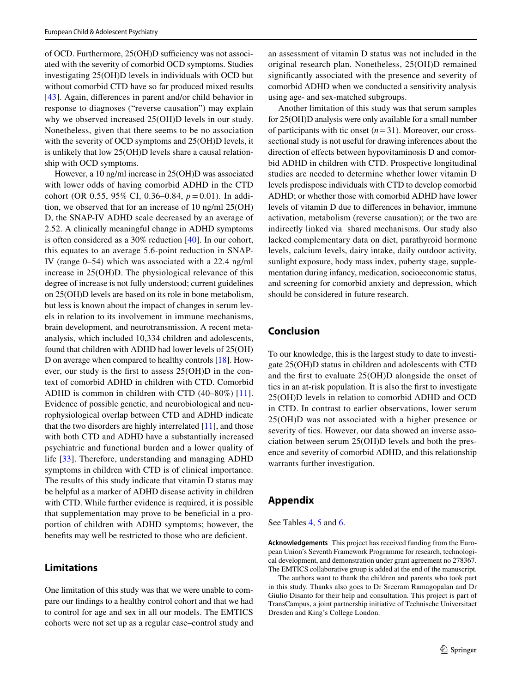of OCD. Furthermore,  $25(OH)D$  sufficiency was not associated with the severity of comorbid OCD symptoms. Studies investigating 25(OH)D levels in individuals with OCD but without comorbid CTD have so far produced mixed results [\[43\]](#page-11-2). Again, diferences in parent and/or child behavior in response to diagnoses ("reverse causation") may explain why we observed increased 25(OH)D levels in our study. Nonetheless, given that there seems to be no association with the severity of OCD symptoms and 25(OH)D levels, it is unlikely that low 25(OH)D levels share a causal relationship with OCD symptoms.

However, a 10 ng/ml increase in 25(OH)D was associated with lower odds of having comorbid ADHD in the CTD cohort (OR 0.55, 95% CI, 0.36–0.84,  $p = 0.01$ ). In addition, we observed that for an increase of 10 ng/ml 25(OH) D, the SNAP-IV ADHD scale decreased by an average of 2.52. A clinically meaningful change in ADHD symptoms is often considered as a 30% reduction [\[40](#page-11-5)]. In our cohort, this equates to an average 5.6-point reduction in SNAP-IV (range 0–54) which was associated with a 22.4 ng/ml increase in 25(OH)D. The physiological relevance of this degree of increase is not fully understood; current guidelines on 25(OH)D levels are based on its role in bone metabolism, but less is known about the impact of changes in serum levels in relation to its involvement in immune mechanisms, brain development, and neurotransmission. A recent metaanalysis, which included 10,334 children and adolescents, found that children with ADHD had lower levels of 25(OH) D on average when compared to healthy controls [[18\]](#page-10-32). However, our study is the frst to assess 25(OH)D in the context of comorbid ADHD in children with CTD. Comorbid ADHD is common in children with CTD (40–80%) [[11](#page-10-33)]. Evidence of possible genetic, and neurobiological and neurophysiological overlap between CTD and ADHD indicate that the two disorders are highly interrelated  $[11]$  $[11]$ , and those with both CTD and ADHD have a substantially increased psychiatric and functional burden and a lower quality of life [[33](#page-10-34)]. Therefore, understanding and managing ADHD symptoms in children with CTD is of clinical importance. The results of this study indicate that vitamin D status may be helpful as a marker of ADHD disease activity in children with CTD. While further evidence is required, it is possible that supplementation may prove to be benefcial in a proportion of children with ADHD symptoms; however, the benefits may well be restricted to those who are deficient.

# **Limitations**

One limitation of this study was that we were unable to compare our fndings to a healthy control cohort and that we had to control for age and sex in all our models. The EMTICS cohorts were not set up as a regular case–control study and an assessment of vitamin D status was not included in the original research plan. Nonetheless, 25(OH)D remained signifcantly associated with the presence and severity of comorbid ADHD when we conducted a sensitivity analysis using age- and sex-matched subgroups.

Another limitation of this study was that serum samples for 25(OH)D analysis were only available for a small number of participants with tic onset  $(n=31)$ . Moreover, our crosssectional study is not useful for drawing inferences about the direction of effects between hypovitaminosis D and comorbid ADHD in children with CTD. Prospective longitudinal studies are needed to determine whether lower vitamin D levels predispose individuals with CTD to develop comorbid ADHD; or whether those with comorbid ADHD have lower levels of vitamin D due to diferences in behavior, immune activation, metabolism (reverse causation); or the two are indirectly linked via shared mechanisms. Our study also lacked complementary data on diet, parathyroid hormone levels, calcium levels, dairy intake, daily outdoor activity, sunlight exposure, body mass index, puberty stage, supplementation during infancy, medication, socioeconomic status, and screening for comorbid anxiety and depression, which should be considered in future research.

# **Conclusion**

To our knowledge, this is the largest study to date to investigate 25(OH)D status in children and adolescents with CTD and the frst to evaluate 25(OH)D alongside the onset of tics in an at-risk population. It is also the frst to investigate 25(OH)D levels in relation to comorbid ADHD and OCD in CTD. In contrast to earlier observations, lower serum 25(OH)D was not associated with a higher presence or severity of tics. However, our data showed an inverse association between serum 25(OH)D levels and both the presence and severity of comorbid ADHD, and this relationship warrants further investigation.

# <span id="page-8-0"></span>**Appendix**

See Tables [4](#page-7-0), [5](#page-7-1) and [6.](#page-7-2)

**Acknowledgements** This project has received funding from the European Union's Seventh Framework Programme for research, technological development, and demonstration under grant agreement no 278367. The EMTICS collaborative group is added at the end of the manuscript.

The authors want to thank the children and parents who took part in this study. Thanks also goes to Dr Sreeram Ramagopalan and Dr Giulio Disanto for their help and consultation. This project is part of TransCampus, a joint partnership initiative of Technische Universitaet Dresden and King's College London.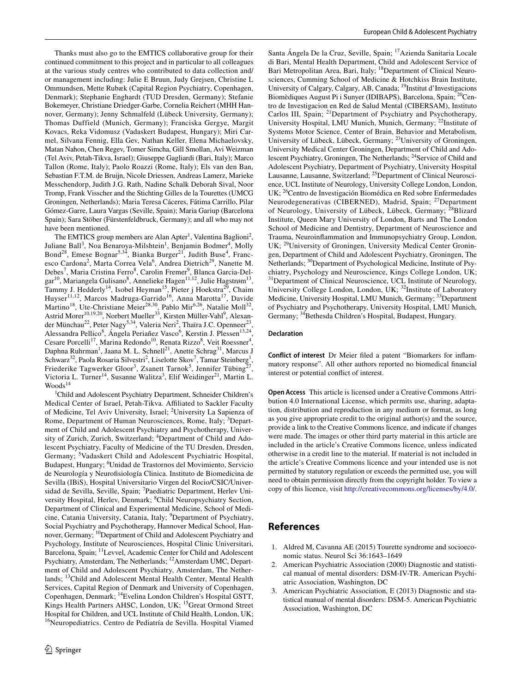Thanks must also go to the EMTICS collaborative group for their continued commitment to this project and in particular to all colleagues at the various study centres who contributed to data collection and/ or management including: Julie E Bruun, Judy Grejsen, Christine L Ommundsen, Mette Rubæk (Capital Region Psychiatry, Copenhagen, Denmark); Stephanie Enghardt (TUD Dresden, Germany); Stefanie Bokemeyer, Christiane Driedger-Garbe, Cornelia Reichert (MHH Hannover, Germany); Jenny Schmalfeld (Lübeck University, Germany); Thomas Duffield (Munich, Germany); Franciska Gergye, Margit Kovacs, Reka Vidomusz (Vadaskert Budapest, Hungary); Miri Carmel, Silvana Fennig, Ella Gev, Nathan Keller, Elena Michaelovsky, Matan Nahon, Chen Regev, Tomer Simcha, Gill Smollan, Avi Weizman (Tel Aviv, Petah-Tikva, Israel); Giuseppe Gagliardi (Bari, Italy); Marco Tallon (Rome, Italy); Paolo Roazzi (Rome, Italy); Els van den Ban, Sebastian F.T.M. de Bruijn, Nicole Driessen, Andreas Lamerz, Marieke Messchendorp, Judith J.G. Rath, Nadine Schalk Deborah Sival, Noor Tromp, Frank Visscher and the Stichting Gilles de la Tourettes (UMCG Groningen, Netherlands); Maria Teresa Cáceres, Fátima Carrillo, Pilar Gómez-Garre, Laura Vargas (Seville, Spain); Maria Gariup (Barcelona Spain); Sara Stöber (Fürstenfeldbruck, Germany); and all who may not have been mentioned.

The EMTICS group members are Alan Apter<sup>1</sup>, Valentina Baglioni<sup>2</sup>, Juliane Ball<sup>3</sup>, Noa Benaroya-Milshtein<sup>1</sup>, Benjamin Bodmer<sup>4</sup>, Molly Bond<sup>28</sup>, Emese Bognar<sup>5,34</sup>, Bianka Burger<sup>21</sup>, Judith Buse<sup>4</sup>, Francesco Cardona<sup>2</sup>, Marta Correa Vela<sup>6</sup>, Andrea Dietrich<sup>29</sup>, Nanette M. Debes<sup>7</sup>, Maria Cristina Ferro<sup>8</sup>, Carolin Fremer<sup>9</sup>, Blanca Garcia-Delgar<sup>10</sup>, Mariangela Gulisano<sup>8</sup>, Annelieke Hagen<sup>11,12</sup>, Julie Hagstrøm<sup>13</sup>, Tammy J. Hedderly<sup>14</sup>, Isobel Heyman<sup>15</sup>, Pieter j Hoekstra<sup>29</sup>, Chaim Huyser<sup>11,12</sup>, Marcos Madruga-Garrido<sup>16</sup>, Anna Marotta<sup>17</sup>, Davide Martino<sup>18</sup>, Ute-Christiane Meier<sup>28,30</sup>, Pablo Mir<sup>6,26</sup>, Natalie Moll<sup>32</sup>, Astrid Morer<sup>10,19,20</sup>, Norbert Mueller<sup>33</sup>, Kirsten Müller-Vahl<sup>9</sup>, Alexander Münchau<sup>22</sup>, Peter Nagy<sup>5,34</sup>, Valeria Neri<sup>2</sup>, Thaïra J.C. Openneer<sup>23</sup>, Alessandra Pellico<sup>8</sup>, Ángela Periañez Vasco<sup>6</sup>, Kerstin J. Plessen<sup>13,24</sup>, Cesare Porcelli<sup>17</sup>, Marina Redondo<sup>10</sup>, Renata Rizzo<sup>8</sup>, Veit Roessner<sup>4</sup>, Daphna Ruhrman<sup>1</sup>, Jaana M. L. Schnell<sup>21</sup>, Anette Schrag<sup>31</sup>, Marcus J Schwarz<sup>32</sup>, Paola Rosaria Silvestri<sup>2</sup>, Liselotte Skov<sup>7</sup>, Tamar Steinberg<sup>1</sup>, Friederike Tagwerker Gloor<sup>3</sup>, Zsanett Tarnok<sup>5</sup>, Jennifer Tübing<sup>27</sup>, Victoria L. Turner<sup>14</sup>, Susanne Walitza<sup>3</sup>, Elif Weidinger<sup>21</sup>, Martin L.  $Woods<sup>14</sup>$ 

1 Child and Adolescent Psychiatry Department, Schneider Children's Medical Center of Israel, Petah-Tikva. Afliated to Sackler Faculty of Medicine, Tel Aviv University, Israel; <sup>2</sup>University La Sapienza of Rome, Department of Human Neurosciences, Rome, Italy; <sup>3</sup>Department of Child and Adolescent Psychiatry and Psychotherapy, University of Zurich, Zurich, Switzerland; <sup>4</sup>Department of Child and Adolescent Psychiatry, Faculty of Medicine of the TU Dresden, Dresden, Germany; <sup>5</sup>Vadaskert Child and Adolescent Psychiatric Hospital, Budapest, Hungary; <sup>6</sup> Unidad de Trastornos del Movimiento, Servicio de Neurología y Neurofsiología Clinica. Instituto de Biomedicina de Sevilla (IBiS), Hospital Universitario Virgen del Rocio/CSIC/Universidad de Sevilla, Seville, Spain; 7Paediatric Department, Herlev University Hospital, Herlev, Denmark; <sup>8</sup>Child Neuropsychiatry Section, Department of Clinical and Experimental Medicine, School of Medicine, Catania University, Catania, Italy; <sup>9</sup>Department of Psychiatry, Social Psychiatry and Psychotherapy, Hannover Medical School, Hannover, Germany; <sup>10</sup>Department of Child and Adolescent Psychiatry and Psychology, Institute of Neurosciences, Hospital Clinic Universitari, Barcelona, Spain; <sup>11</sup>Levvel, Academic Center for Child and Adolescent Psychiatry, Amsterdam, The Netherlands; 12Amsterdam UMC, Department of Child and Adolescent Psychiatry, Amsterdam, The Netherlands; 13Child and Adolescent Mental Health Center, Mental Health Services, Capital Region of Denmark and University of Copenhagen, Copenhagen, Denmark; 14Evelina London Children's Hospital GSTT, Kings Health Partners AHSC, London, UK; 15Great Ormond Street Hospital for Children, and UCL Institute of Child Health, London, UK; <sup>16</sup>Neuropediatrics. Centro de Pediatría de Sevilla. Hospital Viamed

Santa Ángela De la Cruz, Seville, Spain; 17Azienda Sanitaria Locale di Bari, Mental Health Department, Child and Adolescent Service of Bari Metropolitan Area, Bari, Italy; 18Department of Clinical Neurosciences, Cumming School of Medicine & Hotchkiss Brain Institute, University of Calgary, Calgary, AB, Canada; 19Institut d'Investigacions Biomèdiques August Pi i Sunyer (IDIBAPS), Barcelona, Spain; <sup>20</sup>Centro de Investigacion en Red de Salud Mental (CIBERSAM), Instituto Carlos III, Spain; 21Department of Psychiatry and Psychotherapy, University Hospital, LMU Munich, Munich, Germany; <sup>22</sup>Institute of Systems Motor Science, Center of Brain, Behavior and Metabolism, University of Lübeck, Lübeck, Germany; 23University of Groningen, University Medical Center Groningen, Department of Child and Adolescent Psychiatry, Groningen, The Netherlands; <sup>24</sup>Service of Child and Adolescent Psychiatry, Department of Psychiatry, University Hospital Lausanne, Lausanne, Switzerland; 25Department of Clinical Neuroscience, UCL Institute of Neurology, University College London, London, UK; 26Centro de Investigación Biomédica en Red sobre Enfermedades Neurodegenerativas (CIBERNED), Madrid, Spain; 27Department of Neurology, University of Lübeck, Lübeck, Germany; <sup>28</sup>Blizard Institute, Queen Mary University of London, Barts and The London School of Medicine and Dentistry, Department of Neuroscience and Trauma, Neuroinfammation and Immunopsychiatry Group, London, UK; 29University of Groningen, University Medical Center Groningen, Department of Child and Adolescent Psychiatry, Groningen, The Netherlands; 30Department of Psychological Medicine, Institute of Psychiatry, Psychology and Neuroscience, Kings College London, UK; <sup>31</sup>Department of Clinical Neuroscience, UCL Institute of Neurology, University College London, London, UK; <sup>32</sup>Institute of Laboratory Medicine, University Hospital, LMU Munich, Germany; <sup>33</sup>Department of Psychiatry and Psychotherapy, University Hospital, LMU Munich, Germany; <sup>34</sup>Bethesda Children's Hospital, Budapest, Hungary.

#### **Declaration**

**Conflict of interest** Dr Meier fled a patent "Biomarkers for infammatory response". All other authors reported no biomedical fnancial interest or potential confict of interest.

**Open Access** This article is licensed under a Creative Commons Attribution 4.0 International License, which permits use, sharing, adaptation, distribution and reproduction in any medium or format, as long as you give appropriate credit to the original author(s) and the source, provide a link to the Creative Commons licence, and indicate if changes were made. The images or other third party material in this article are included in the article's Creative Commons licence, unless indicated otherwise in a credit line to the material. If material is not included in the article's Creative Commons licence and your intended use is not permitted by statutory regulation or exceeds the permitted use, you will need to obtain permission directly from the copyright holder. To view a copy of this licence, visit<http://creativecommons.org/licenses/by/4.0/>.

# **References**

- <span id="page-9-2"></span>1. Aldred M, Cavanna AE (2015) Tourette syndrome and socioeconomic status. Neurol Sci 36:1643–1649
- <span id="page-9-1"></span>2. American Psychiatric Association (2000) Diagnostic and statistical manual of mental disorders: DSM-IV-TR. American Psychiatric Association, Washington, DC
- <span id="page-9-0"></span>American Psychiatric Association, E (2013) Diagnostic and statistical manual of mental disorders: DSM-5. American Psychiatric Association, Washington, DC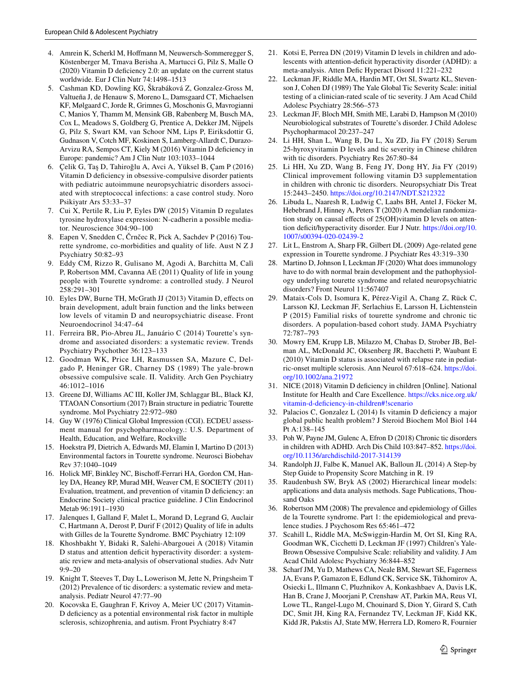- <span id="page-10-28"></span>4. Amrein K, Scherkl M, Hofmann M, Neuwersch-Sommeregger S, Köstenberger M, Tmava Berisha A, Martucci G, Pilz S, Malle O (2020) Vitamin D defciency 2.0: an update on the current status worldwide. Eur J Clin Nutr 74:1498–1513
- <span id="page-10-29"></span>5. Cashman KD, Dowling KG, Škrabáková Z, Gonzalez-Gross M, Valtueña J, de Henauw S, Moreno L, Damsgaard CT, Michaelsen KF, Mølgaard C, Jorde R, Grimnes G, Moschonis G, Mavrogianni C, Manios Y, Thamm M, Mensink GB, Rabenberg M, Busch MA, Cox L, Meadows S, Goldberg G, Prentice A, Dekker JM, Nijpels G, Pilz S, Swart KM, van Schoor NM, Lips P, Eiriksdottir G, Gudnason V, Cotch MF, Koskinen S, Lamberg-Allardt C, Durazo-Arvizu RA, Sempos CT, Kiely M (2016) Vitamin D defciency in Europe: pandemic? Am J Clin Nutr 103:1033–1044
- <span id="page-10-17"></span>6. Çelik G, Taş D, Tahiroğlu A, Avci A, Yüksel B, Çam P (2016) Vitamin D deficiency in obsessive-compulsive disorder patients with pediatric autoimmune neuropsychiatric disorders associated with streptococcal infections: a case control study. Noro Psikiyatr Ars 53:33–37
- <span id="page-10-12"></span>7. Cui X, Pertile R, Liu P, Eyles DW (2015) Vitamin D regulates tyrosine hydroxylase expression: N-cadherin a possible mediator. Neuroscience 304:90–100
- <span id="page-10-2"></span>8. Eapen V, Snedden C, Črnčec R, Pick A, Sachdev P (2016) Tourette syndrome, co-morbidities and quality of life. Aust N Z J Psychiatry 50:82–93
- <span id="page-10-3"></span>9. Eddy CM, Rizzo R, Gulisano M, Agodi A, Barchitta M, Calì P, Robertson MM, Cavanna AE (2011) Quality of life in young people with Tourette syndrome: a controlled study. J Neurol 258:291–301
- <span id="page-10-9"></span>10. Eyles DW, Burne TH, McGrath JJ (2013) Vitamin D, efects on brain development, adult brain function and the links between low levels of vitamin D and neuropsychiatric disease. Front Neuroendocrinol 34:47–64
- <span id="page-10-33"></span>11. Ferreira BR, Pio-Abreu JL, Januário C (2014) Tourette's syndrome and associated disorders: a systematic review. Trends Psychiatry Psychother 36:123–133
- <span id="page-10-22"></span>12. Goodman WK, Price LH, Rasmussen SA, Mazure C, Delgado P, Heninger GR, Charney DS (1989) The yale-brown obsessive compulsive scale. II. Validity. Arch Gen Psychiatry 46:1012–1016
- <span id="page-10-14"></span>13. Greene DJ, Williams AC III, Koller JM, Schlaggar BL, Black KJ, TTAOAN Consortium (2017) Brain structure in pediatric Tourette syndrome. Mol Psychiatry 22:972–980
- <span id="page-10-21"></span>14. Guy W (1976) Clinical Global Impression (CGI). ECDEU assessment manual for psychopharmacology.: U.S. Department of Health, Education, and Welfare, Rockville
- <span id="page-10-8"></span>15. Hoekstra PJ, Dietrich A, Edwards MJ, Elamin I, Martino D (2013) Environmental factors in Tourette syndrome. Neurosci Biobehav Rev 37:1040–1049
- <span id="page-10-24"></span>16. Holick MF, Binkley NC, Bischoff-Ferrari HA, Gordon CM, Hanley DA, Heaney RP, Murad MH, Weaver CM, E SOCIETY (2011) Evaluation, treatment, and prevention of vitamin D defciency: an Endocrine Society clinical practice guideline. J Clin Endocrinol Metab 96:1911–1930
- <span id="page-10-4"></span>17. Jalenques I, Galland F, Malet L, Morand D, Legrand G, Auclair C, Hartmann A, Derost P, Durif F (2012) Quality of life in adults with Gilles de la Tourette Syndrome. BMC Psychiatry 12:109
- <span id="page-10-32"></span>18. Khoshbakht Y, Bidaki R, Salehi-Abargouei A (2018) Vitamin D status and attention deficit hyperactivity disorder: a systematic review and meta-analysis of observational studies. Adv Nutr 9:9–20
- <span id="page-10-0"></span>19. Knight T, Steeves T, Day L, Lowerison M, Jette N, Pringsheim T (2012) Prevalence of tic disorders: a systematic review and metaanalysis. Pediatr Neurol 47:77–90
- <span id="page-10-10"></span>20. Kocovska E, Gaughran F, Krivoy A, Meier UC (2017) Vitamin-D defciency as a potential environmental risk factor in multiple sclerosis, schizophrenia, and autism. Front Psychiatry 8:47
- <span id="page-10-18"></span>21. Kotsi E, Perrea DN (2019) Vitamin D levels in children and adolescents with attention-deficit hyperactivity disorder (ADHD): a meta-analysis. Atten Defc Hyperact Disord 11:221–232
- <span id="page-10-20"></span>22. Leckman JF, Riddle MA, Hardin MT, Ort SI, Swartz KL, Stevenson J, Cohen DJ (1989) The Yale Global Tic Severity Scale: initial testing of a clinician-rated scale of tic severity. J Am Acad Child Adolesc Psychiatry 28:566–573
- <span id="page-10-11"></span>23. Leckman JF, Bloch MH, Smith ME, Larabi D, Hampson M (2010) Neurobiological substrates of Tourette's disorder. J Child Adolesc Psychopharmacol 20:237–247
- <span id="page-10-15"></span>24. Li HH, Shan L, Wang B, Du L, Xu ZD, Jia FY (2018) Serum 25-hyroxyvitamin D levels and tic severity in Chinese children with tic disorders. Psychiatry Res 267:80–84
- <span id="page-10-16"></span>25. Li HH, Xu ZD, Wang B, Feng JY, Dong HY, Jia FY (2019) Clinical improvement following vitamin D3 supplementation in children with chronic tic disorders. Neuropsychiatr Dis Treat 15:2443–2450.<https://doi.org/10.2147/NDT.S212322>
- <span id="page-10-19"></span>26. Libuda L, Naaresh R, Ludwig C, Laabs BH, Antel J, Föcker M, Hebebrand J, Hinney A, Peters T (2020) A mendelian randomization study on causal efects of 25(OH)vitamin D levels on attention deficit/hyperactivity disorder. Eur J Nutr. [https://doi.org/10.](https://doi.org/10.1007/s00394-020-02439-2) [1007/s00394-020-02439-2](https://doi.org/10.1007/s00394-020-02439-2)
- <span id="page-10-7"></span>27. Lit L, Enstrom A, Sharp FR, Gilbert DL (2009) Age-related gene expression in Tourette syndrome. J Psychiatr Res 43:319–330
- <span id="page-10-13"></span>28. Martino D, Johnson I, Leckman JF (2020) What does immunology have to do with normal brain development and the pathophysiology underlying tourette syndrome and related neuropsychiatric disorders? Front Neurol 11:567407
- <span id="page-10-5"></span>29. Mataix-Cols D, Isomura K, Pérez-Vigil A, Chang Z, Rück C, Larsson KJ, Leckman JF, Serlachius E, Larsson H, Lichtenstein P (2015) Familial risks of tourette syndrome and chronic tic disorders. A population-based cohort study. JAMA Psychiatry 72:787–793
- <span id="page-10-25"></span>30. Mowry EM, Krupp LB, Milazzo M, Chabas D, Strober JB, Belman AL, McDonald JC, Oksenberg JR, Bacchetti P, Waubant E (2010) Vitamin D status is associated with relapse rate in pediatric-onset multiple sclerosis. Ann Neurol 67:618–624. [https://doi.](https://doi.org/10.1002/ana.21972) [org/10.1002/ana.21972](https://doi.org/10.1002/ana.21972)
- <span id="page-10-31"></span>31. NICE (2018) Vitamin D defciency in children [Online]. National Institute for Health and Care Excellence. [https://cks.nice.org.uk/](https://cks.nice.org.uk/vitamin-d-deficiency-in-children#!scenario) [vitamin-d-defciency-in-children#!scenario](https://cks.nice.org.uk/vitamin-d-deficiency-in-children#!scenario)
- <span id="page-10-30"></span>32. Palacios C, Gonzalez L (2014) Is vitamin D defciency a major global public health problem? J Steroid Biochem Mol Biol 144 Pt A:138–145
- <span id="page-10-34"></span>33. Poh W, Payne JM, Gulenc A, Efron D (2018) Chronic tic disorders in children with ADHD. Arch Dis Child 103:847–852. [https://doi.](https://doi.org/10.1136/archdischild-2017-314139) [org/10.1136/archdischild-2017-314139](https://doi.org/10.1136/archdischild-2017-314139)
- <span id="page-10-27"></span>34. Randolph JJ, Falbe K, Manuel AK, Balloun JL (2014) A Step-by Step Guide to Propensity Score Matching in R. 19
- <span id="page-10-26"></span>35. Raudenbush SW, Bryk AS (2002) Hierarchical linear models: applications and data analysis methods. Sage Publications, Thousand Oaks
- <span id="page-10-1"></span>36. Robertson MM (2008) The prevalence and epidemiology of Gilles de la Tourette syndrome. Part 1: the epidemiological and prevalence studies. J Psychosom Res 65:461–472
- <span id="page-10-23"></span>37. Scahill L, Riddle MA, McSwiggin-Hardin M, Ort SI, King RA, Goodman WK, Cicchetti D, Leckman JF (1997) Children's Yale-Brown Obsessive Compulsive Scale: reliability and validity. J Am Acad Child Adolesc Psychiatry 36:844–852
- <span id="page-10-6"></span>38. Scharf JM, Yu D, Mathews CA, Neale BM, Stewart SE, Fagerness JA, Evans P, Gamazon E, Edlund CK, Service SK, Tikhomirov A, Osiecki L, Illmann C, Pluzhnikov A, Konkashbaev A, Davis LK, Han B, Crane J, Moorjani P, Crenshaw AT, Parkin MA, Reus VI, Lowe TL, Rangel-Lugo M, Chouinard S, Dion Y, Girard S, Cath DC, Smit JH, King RA, Fernandez TV, Leckman JF, Kidd KK, Kidd JR, Pakstis AJ, State MW, Herrera LD, Romero R, Fournier